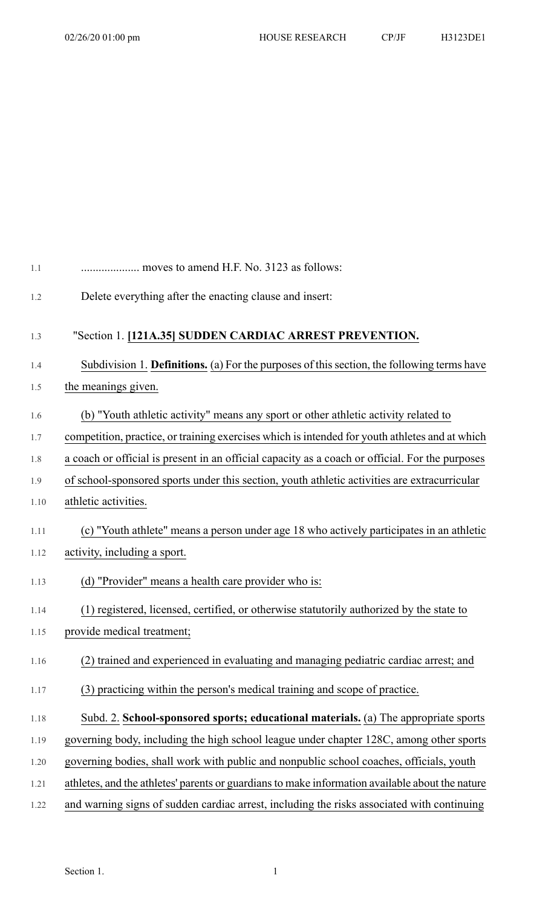| 1.1  | moves to amend H.F. No. 3123 as follows:                                                        |
|------|-------------------------------------------------------------------------------------------------|
| 1.2  | Delete everything after the enacting clause and insert:                                         |
| 1.3  | "Section 1. [121A.35] SUDDEN CARDIAC ARREST PREVENTION.                                         |
| 1.4  | Subdivision 1. Definitions. (a) For the purposes of this section, the following terms have      |
| 1.5  | the meanings given.                                                                             |
| 1.6  | (b) "Youth athletic activity" means any sport or other athletic activity related to             |
| 1.7  | competition, practice, or training exercises which is intended for youth athletes and at which  |
| 1.8  | a coach or official is present in an official capacity as a coach or official. For the purposes |
| 1.9  | of school-sponsored sports under this section, youth athletic activities are extracurricular    |
| 1.10 | athletic activities.                                                                            |
| 1.11 | (c) "Youth athlete" means a person under age 18 who actively participates in an athletic        |
| 1.12 | activity, including a sport.                                                                    |
| 1.13 | (d) "Provider" means a health care provider who is:                                             |
| 1.14 | (1) registered, licensed, certified, or otherwise statutorily authorized by the state to        |
| 1.15 | provide medical treatment;                                                                      |
| 1.16 | (2) trained and experienced in evaluating and managing pediatric cardiac arrest; and            |
| 1.17 | (3) practicing within the person's medical training and scope of practice.                      |
| 1.18 | Subd. 2. School-sponsored sports; educational materials. (a) The appropriate sports             |
| 1.19 | governing body, including the high school league under chapter 128C, among other sports         |
| 1.20 | governing bodies, shall work with public and nonpublic school coaches, officials, youth         |
| 1.21 | athletes, and the athletes' parents or guardians to make information available about the nature |
| 1.22 | and warning signs of sudden cardiac arrest, including the risks associated with continuing      |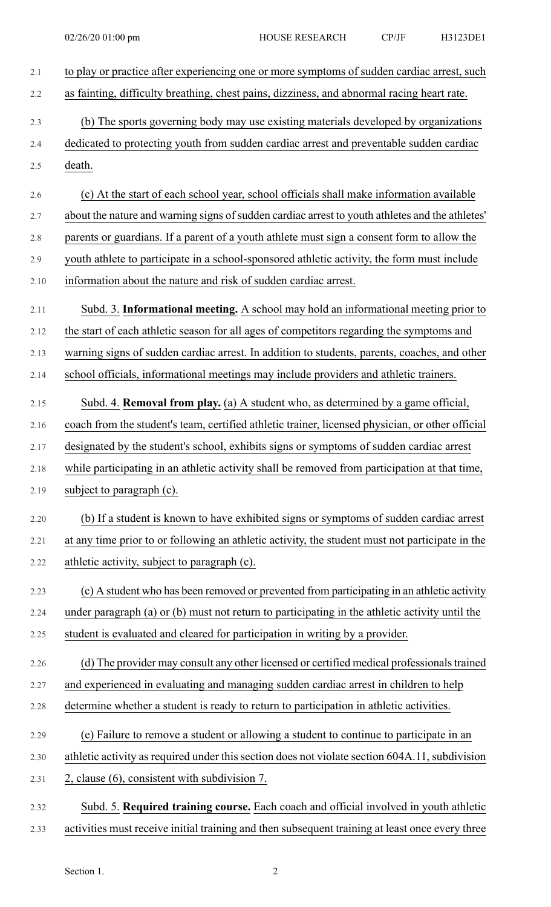| 2.1     | to play or practice after experiencing one or more symptoms of sudden cardiac arrest, such       |
|---------|--------------------------------------------------------------------------------------------------|
| 2.2     | as fainting, difficulty breathing, chest pains, dizziness, and abnormal racing heart rate.       |
| 2.3     | (b) The sports governing body may use existing materials developed by organizations              |
| 2.4     | dedicated to protecting youth from sudden cardiac arrest and preventable sudden cardiac          |
| 2.5     | death.                                                                                           |
| 2.6     | (c) At the start of each school year, school officials shall make information available          |
| 2.7     | about the nature and warning signs of sudden cardiac arrest to youth athletes and the athletes'  |
| 2.8     | parents or guardians. If a parent of a youth athlete must sign a consent form to allow the       |
| $2.9\,$ | youth athlete to participate in a school-sponsored athletic activity, the form must include      |
| 2.10    | information about the nature and risk of sudden cardiac arrest.                                  |
| 2.11    | Subd. 3. Informational meeting. A school may hold an informational meeting prior to              |
| 2.12    | the start of each athletic season for all ages of competitors regarding the symptoms and         |
| 2.13    | warning signs of sudden cardiac arrest. In addition to students, parents, coaches, and other     |
| 2.14    | school officials, informational meetings may include providers and athletic trainers.            |
| 2.15    | Subd. 4. <b>Removal from play.</b> (a) A student who, as determined by a game official,          |
| 2.16    | coach from the student's team, certified athletic trainer, licensed physician, or other official |
| 2.17    | designated by the student's school, exhibits signs or symptoms of sudden cardiac arrest          |
| 2.18    | while participating in an athletic activity shall be removed from participation at that time,    |
| 2.19    | subject to paragraph (c).                                                                        |
| 2.20    | (b) If a student is known to have exhibited signs or symptoms of sudden cardiac arrest           |
| 2.21    | at any time prior to or following an athletic activity, the student must not participate in the  |
| 2.22    | athletic activity, subject to paragraph (c).                                                     |
| 2.23    | (c) A student who has been removed or prevented from participating in an athletic activity       |
| 2.24    | under paragraph (a) or (b) must not return to participating in the athletic activity until the   |
| 2.25    | student is evaluated and cleared for participation in writing by a provider.                     |
| 2.26    | (d) The provider may consult any other licensed or certified medical professionals trained       |
| 2.27    | and experienced in evaluating and managing sudden cardiac arrest in children to help             |
| 2.28    | determine whether a student is ready to return to participation in athletic activities.          |
| 2.29    | (e) Failure to remove a student or allowing a student to continue to participate in an           |
| 2.30    | athletic activity as required under this section does not violate section 604A.11, subdivision   |
| 2.31    | 2, clause (6), consistent with subdivision 7.                                                    |
| 2.32    | Subd. 5. Required training course. Each coach and official involved in youth athletic            |

2.33 activities must receive initial training and then subsequent training at least once every three